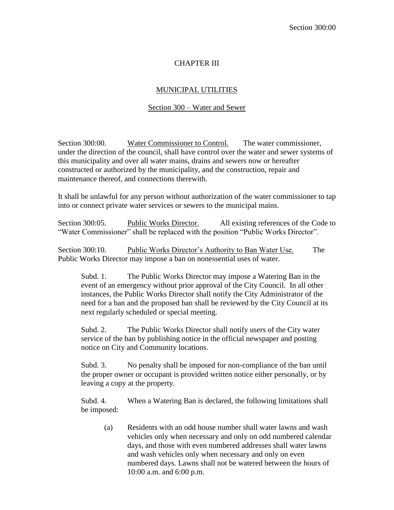## CHAPTER III

## MUNICIPAL UTILITIES

## Section 300 – Water and Sewer

Section 300:00. Water Commissioner to Control. The water commissioner, under the direction of the council, shall have control over the water and sewer systems of this municipality and over all water mains, drains and sewers now or hereafter constructed or authorized by the municipality, and the construction, repair and maintenance thereof, and connections therewith.

It shall be unlawful for any person without authorization of the water commissioner to tap into or connect private water services or sewers to the municipal mains.

Section 300:05. Public Works Director. All existing references of the Code to "Water Commissioner" shall be replaced with the position "Public Works Director".

Section 300:10. Public Works Director's Authority to Ban Water Use. The Public Works Director may impose a ban on nonessential uses of water.

Subd. 1. The Public Works Director may impose a Watering Ban in the event of an emergency without prior approval of the City Council. In all other instances, the Public Works Director shall notify the City Administrator of the need for a ban and the proposed ban shall be reviewed by the City Council at its next regularly scheduled or special meeting.

Subd. 2. The Public Works Director shall notify users of the City water service of the ban by publishing notice in the official newspaper and posting notice on City and Community locations.

Subd. 3. No penalty shall be imposed for non-compliance of the ban until the proper owner or occupant is provided written notice either personally, or by leaving a copy at the property.

Subd. 4. When a Watering Ban is declared, the following limitations shall be imposed:

(a) Residents with an odd house number shall water lawns and wash vehicles only when necessary and only on odd numbered calendar days, and those with even numbered addresses shall water lawns and wash vehicles only when necessary and only on even numbered days. Lawns shall not be watered between the hours of 10:00 a.m. and 6:00 p.m.